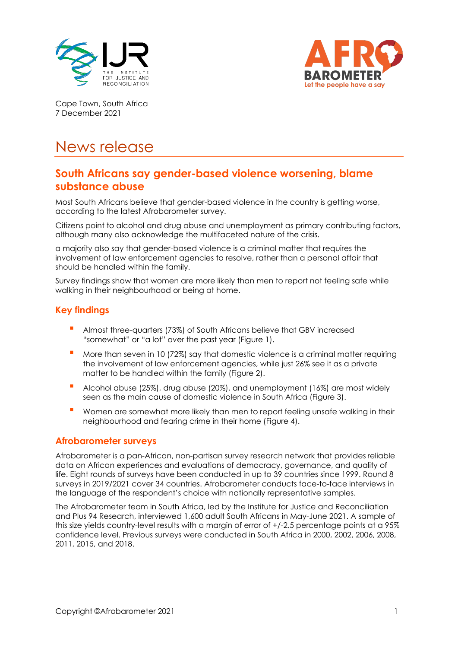



Cape Town, South Africa 7 December 2021

# News release

## **South Africans say gender-based violence worsening, blame substance abuse**

Most South Africans believe that gender-based violence in the country is getting worse, according to the latest Afrobarometer survey.

Citizens point to alcohol and drug abuse and unemployment as primary contributing factors, although many also acknowledge the multifaceted nature of the crisis.

a majority also say that gender-based violence is a criminal matter that requires the involvement of law enforcement agencies to resolve, rather than a personal affair that should be handled within the family.

Survey findings show that women are more likely than men to report not feeling safe while walking in their neighbourhood or being at home.

## **Key findings**

- Almost three-quarters (73%) of South Africans believe that GBV increased "somewhat" or "a lot" over the past year (Figure 1).
- More than seven in 10 (72%) say that domestic violence is a criminal matter requiring the involvement of law enforcement agencies, while just 26% see it as a private matter to be handled within the family (Figure 2).
- Alcohol abuse (25%), drug abuse (20%), and unemployment (16%) are most widely seen as the main cause of domestic violence in South Africa (Figure 3).
- Women are somewhat more likely than men to report feeling unsafe walking in their neighbourhood and fearing crime in their home (Figure 4).

#### **Afrobarometer surveys**

Afrobarometer is a pan-African, non-partisan survey research network that provides reliable data on African experiences and evaluations of democracy, governance, and quality of life. Eight rounds of surveys have been conducted in up to 39 countries since 1999. Round 8 surveys in 2019/2021 cover 34 countries. Afrobarometer conducts face-to-face interviews in the language of the respondent's choice with nationally representative samples.

The Afrobarometer team in South Africa, led by the Institute for Justice and Reconciliation and Plus 94 Research, interviewed 1,600 adult South Africans in May-June 2021. A sample of this size yields country-level results with a margin of error of  $+/2.5$  percentage points at a 95% confidence level. Previous surveys were conducted in South Africa in 2000, 2002, 2006, 2008, 2011, 2015, and 2018.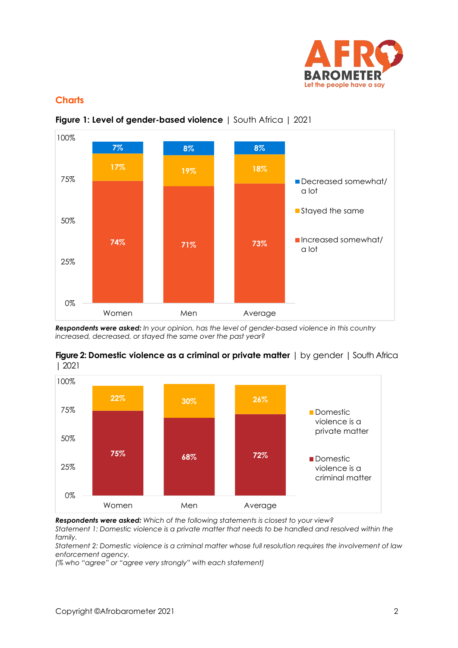

## **Charts**





*Respondents were asked: In your opinion, has the level of gender-based violence in this country increased, decreased, or stayed the same over the past year?* 





*Respondents were asked: Which of the following statements is closest to your view? Statement 1: Domestic violence is a private matter that needs to be handled and resolved within the family.*

*Statement 2: Domestic violence is a criminal matter whose full resolution requires the involvement of law enforcement agency.*

*(% who "agree" or "agree very strongly" with each statement)*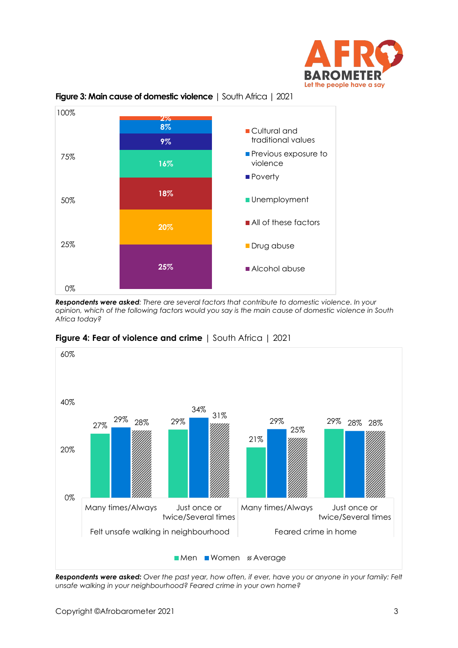



**Figure 3: Main cause of domestic violence** | South Africa | 2021

*Respondents were asked: There are several factors that contribute to domestic violence. In your opinion, which of the following factors would you say is the main cause of domestic violence in South Africa today?*



**Figure 4: Fear of violence and crime** | South Africa | 2021

*Respondents were asked: Over the past year, how often, if ever, have you or anyone in your family: Felt unsafe walking in your neighbourhood? Feared crime in your own home?*